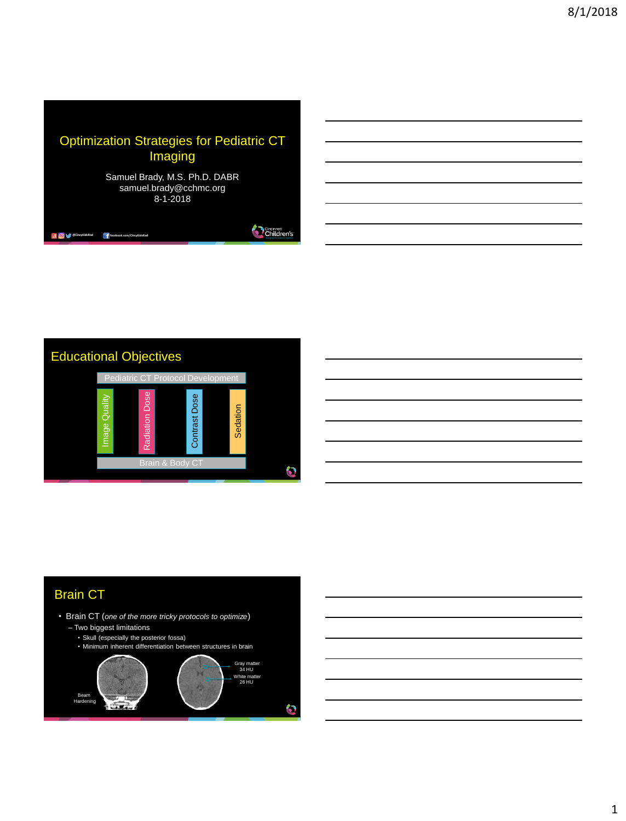

Children's



## Brain CT

**and @CincyKidsRad f** facebook.com/

- Brain CT (*one of the more tricky protocols to optimize*)
	- Two biggest limitations
		- Skull (especially the posterior fossa)
	- Minimum inherent differentiation between structures in brain

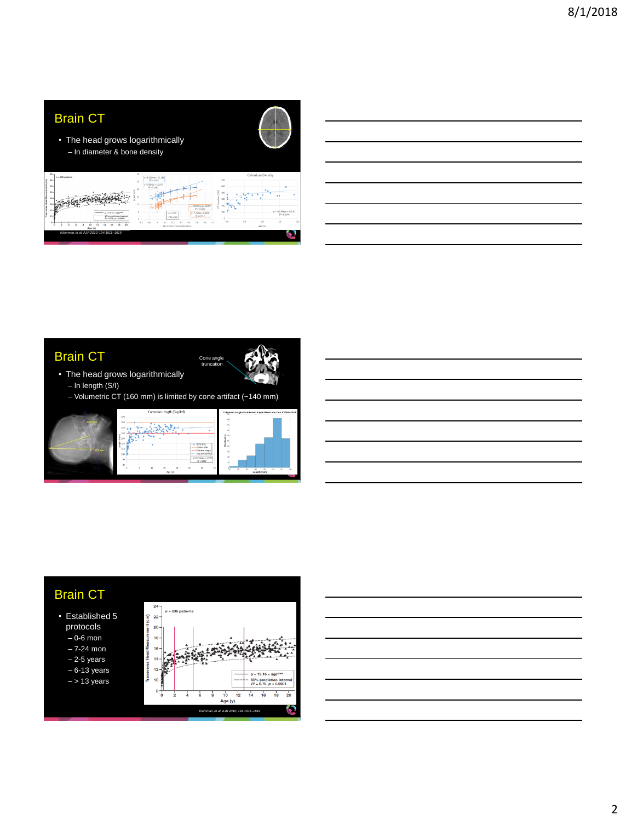

### Brain CT



- The head grows logarithmically – In length (S/I)
	- Volumetric CT (160 mm) is limited by cone artifact (~140 mm)





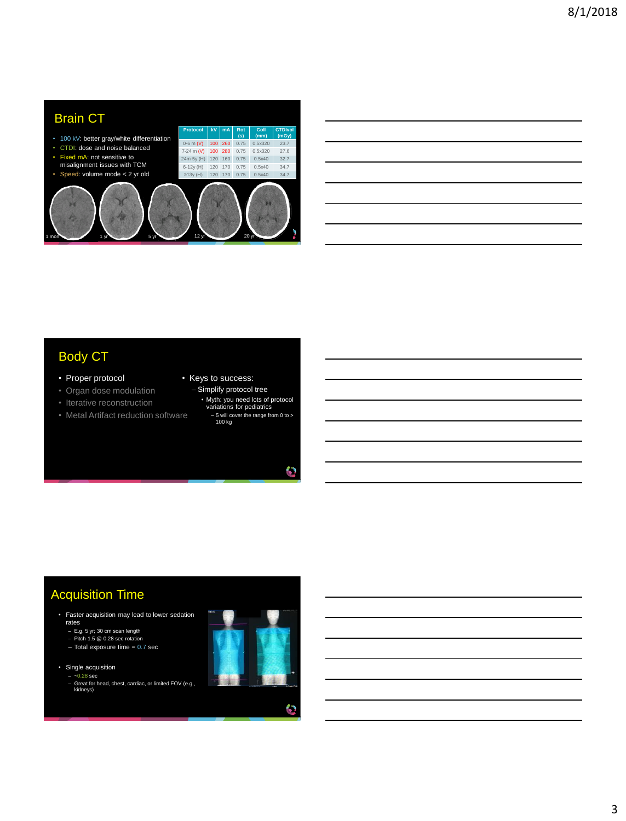| <b>Brain CT</b>                                               | Protocol       | kV  | mA  | Rot         | Coll            | <b>CTDIvol</b> |  |
|---------------------------------------------------------------|----------------|-----|-----|-------------|-----------------|----------------|--|
| 100 kV: better gray/white differentiation<br>٠                | $0-6$ m (V)    | 100 | 260 | (s)<br>0.75 | (mm)<br>0.5x320 | (mGy)<br>23.7  |  |
| CTDI: dose and noise balanced<br>٠                            | 7-24 m (V)     | 100 | 280 | 0.75        | 0.5x320         | 27.6           |  |
| Fixed mA: not sensitive to<br>٠                               | 24m-5y (H)     | 120 | 160 | 0.75        | 0.5x40          | 32.7           |  |
| misalignment issues with TCM                                  | $6-12y(H)$     | 120 | 170 | 0.75        | 0.5x40          | 34.7           |  |
| Speed: volume mode $<$ 2 yr old<br>٠                          | $\geq$ 13y (H) | 120 | 170 | 0.75        | 0.5x40          | 34.7           |  |
| 20 <sub>yr</sub><br>12 <sub>yr</sub><br>5 yr<br>1 mon<br>4 yr |                |     |     |             |                 |                |  |

| <u> 1989 - Andrea Santa Andrea Andrea Andrea Andrea Andrea Andrea Andrea Andrea Andrea Andrea Andrea Andrea Andr</u>  |  |  |
|-----------------------------------------------------------------------------------------------------------------------|--|--|
| <u> 1989 - Johann Stoff, deutscher Stoff, der Stoff, der Stoff, der Stoff, der Stoff, der Stoff, der Stoff, der S</u> |  |  |
| <u> 1989 - Johann Stoff, deutscher Stoff, der Stoff, der Stoff, der Stoff, der Stoff, der Stoff, der Stoff, der S</u> |  |  |
|                                                                                                                       |  |  |
| <u> 1989 - Johann Stoff, amerikansk politiker (d. 1989)</u>                                                           |  |  |
|                                                                                                                       |  |  |

# Body CT

- Proper protocol
- Organ dose modulation
- Iterative reconstruction
- Metal Artifact reduction software
- Keys to success:
	- Simplify protocol tree • Myth: you need lots of protocol variations for pediatrics – 5 will cover the range from 0 to > 100 kg
		-

¢

 $\bullet$ 

L.

# Acquisition Time

• Faster acquisition may lead to lower sedation

- rates E.g. 5 yr; 30 cm scan length Pitch 1.5 @ 0.28 sec rotation
- 
- Total exposure time = 0.7 sec

#### • Single acquisition

 $-0.28$  sec – Great for head, chest, cardiac, or limited FOV (e.g., kidneys)

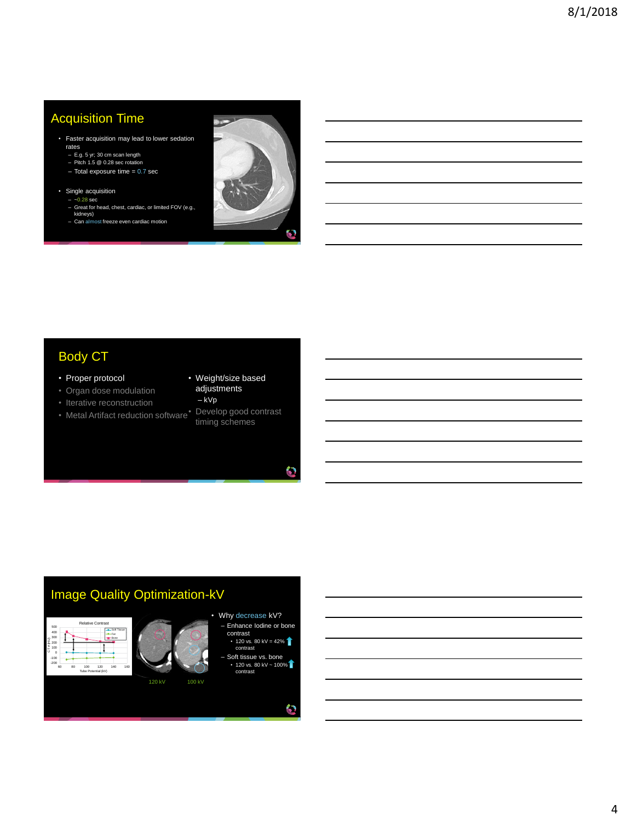## Acquisition Time

- Faster acquisition may lead to lower sedation rates
	- E.g. 5 yr; 30 cm scan length Pitch 1.5 @ 0.28 sec rotation
	-
	- $-$  Total exposure time  $= 0.7$  sec
- Single acquisition  $-0.28$  sec
	- Great for head, chest, cardiac, or limited FOV (e.g., kidneys)
- Can almost freeze even cardiac motion



# Body CT

- Proper protocol
- Organ dose modulation
- Iterative reconstruction
- 
- Weight/size based adjustments
- kVp
- Metal Artifact reduction software Develop good contrast timing schemes

O

Q

# Image Quality Optimization-kV





120 kV 100 kV

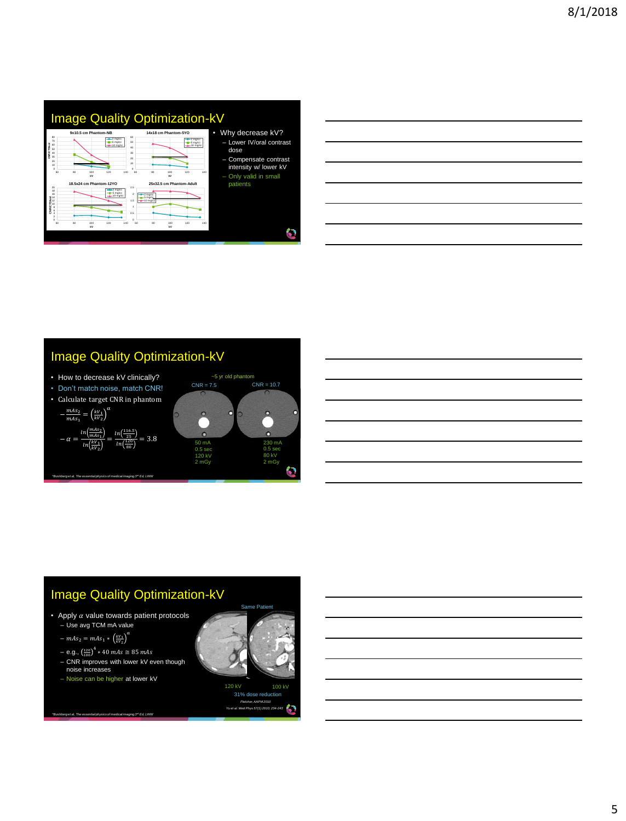

| <u> 1989 - Johann Stoff, deutscher Stoff, der Stoff, der Stoff, der Stoff, der Stoff, der Stoff, der Stoff, der S</u> |  |  |
|-----------------------------------------------------------------------------------------------------------------------|--|--|
|                                                                                                                       |  |  |
| <u> 1989 - Johann Stoff, deutscher Stoff, der Stoff, der Stoff, der Stoff, der Stoff, der Stoff, der Stoff, der S</u> |  |  |
|                                                                                                                       |  |  |
| <u> 1989 - Johann Stoff, deutscher Stoff, der Stoff, der Stoff, der Stoff, der Stoff, der Stoff, der Stoff, der S</u> |  |  |
|                                                                                                                       |  |  |

## Image Quality Optimization-kV

 $\Omega$ 

- How to decrease kV clinically?
- Don't match noise, match CNR!
- Calculate target CNR in phantom α

$$
-\frac{mAs_2}{mAs_1} = \left(\frac{kV_1}{kV_2}\right)^{4k}
$$

$$
-\alpha = \frac{\ln\left(\frac{mAs_2}{mAs_1}\right)}{\ln\left(\frac{kV_1}{kV_2}\right)} = \frac{\ln\left(\frac{116.5}{25}\right)}{\ln\left(\frac{180}{80}\right)} = 3
$$

*\*Bushberg et al, The essential physics of medical imaging 3rd Ed, LWW* 



# Image Quality Optimization-kV

• Apply  $\alpha$  value towards patient protocols – Use avg TCM mA value

α

- $mAs_2 = mAs_1 * \left(\frac{kV_1}{kV_2}\right)$
- $-$  e.g.,  $\left(\frac{120}{100}\right)^4 * 40$  mAs  $\cong 85$  mAs
- CNR improves with lower kV even though
- noise increases
- Noise can be higher at lower kV





120 kV 100 kV *Fletcher, AAPM 2010 Yu et al. Med Phys 57(1) 2010; 234-243* 31% dose reduction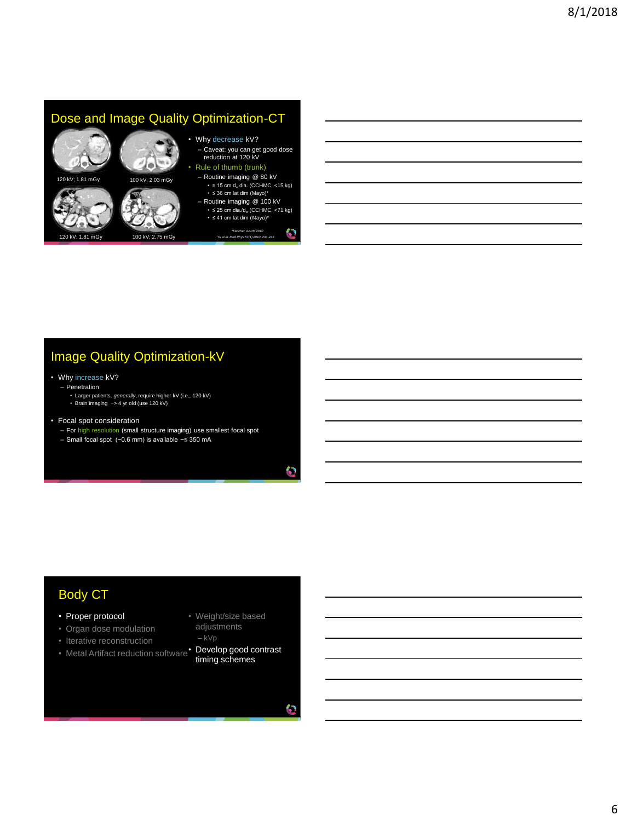

# Image Quality Optimization-kV

#### • Why increase kV?

#### – Penetration

- Larger patients, *generally*, require higher kV (i.e., 120 kV) Brain imaging ~> 4 yr old (use 120 kV)
- 
- Focal spot consideration
	- For high resolution (small structure imaging) use smallest focal spot
	- Small focal spot (~0.6 mm) is available ~≤ 350 mA

### Body CT

- Proper protocol
- Organ dose modulation
- Iterative reconstruction
- Metal Artifact reduction software Develop good contrast
- Weight/size based adjustments
- kVp
	- timing schemes

O

O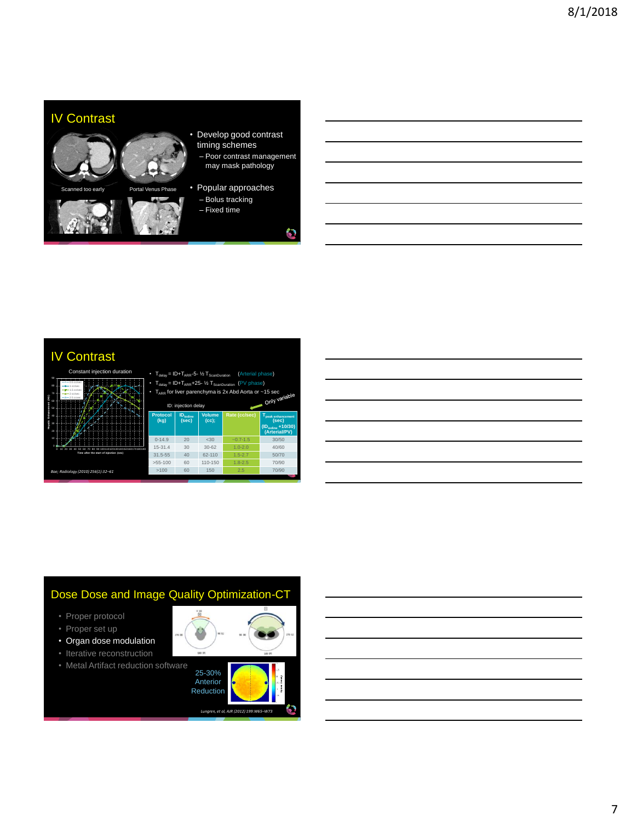

- Develop good contrast timing schemes
	- Poor contrast management may mask pathology
- Popular approaches
	- Bolus tracking – Fixed time

6

### IV Contrast



| (Arterial phase)<br>$T_{\text{delay}} = ID + T_{\text{ARR}} - 5 - \frac{1}{2}T_{\text{ScanDuration}}$<br>$\cdot$ $T_{\text{delay}} = ID + T_{\text{ARR}} + 25 - \frac{1}{2}T_{\text{ScanDuration}}$<br>(PV phase)<br>$T_{\text{app}}$ for liver parenchyma is 2x Abd Aorta or $\sim$ 15 sec<br>Only variable<br>ID: injection delay |                                      |                           |               |                                                                                    |  |
|-------------------------------------------------------------------------------------------------------------------------------------------------------------------------------------------------------------------------------------------------------------------------------------------------------------------------------------|--------------------------------------|---------------------------|---------------|------------------------------------------------------------------------------------|--|
| <b>Protocol</b><br>(kq)                                                                                                                                                                                                                                                                                                             | <b>ID</b> <sub>lodine</sub><br>(sec) | <b>Volume</b><br>$(cc)$ : | Rate (cc/sec) | T <sub>peak enhancement</sub><br>(sec)<br>$(ID_{iodine} + 10/30)$<br>(Arterial/PV) |  |
| $0 - 14.9$                                                                                                                                                                                                                                                                                                                          | 20                                   | $-30$                     | $-0.7 - 1.5$  | 30/50                                                                              |  |
| $15 - 31.4$                                                                                                                                                                                                                                                                                                                         | 30                                   | $30 - 62$                 | $1.0 - 2.0$   | 40/60                                                                              |  |
| $31.5 - 55$                                                                                                                                                                                                                                                                                                                         | 40                                   | $62 - 110$                | $1.5 - 2.7$   | 50/70                                                                              |  |
| $>55-100$                                                                                                                                                                                                                                                                                                                           | 60                                   | 110-150                   | $1.8 - 2.5$   | 70/90                                                                              |  |
| >100                                                                                                                                                                                                                                                                                                                                | 60                                   | 150                       | 2.5           | 70/90                                                                              |  |

| ,我们也不会有什么?""我们的人,我们也不会有什么?""我们的人,我们也不会有什么?""我们的人,我们也不会有什么?""我们的人,我们也不会有什么?""我们的人 |  |  | ___ |
|----------------------------------------------------------------------------------|--|--|-----|
|                                                                                  |  |  |     |
|                                                                                  |  |  |     |
|                                                                                  |  |  |     |
|                                                                                  |  |  |     |

### Dose Dose and Image Quality Optimization-CT

- Proper protocol
- Proper set up
- Organ dose modulation
- Iterative reconstruction
- Metal Artifact reduction software



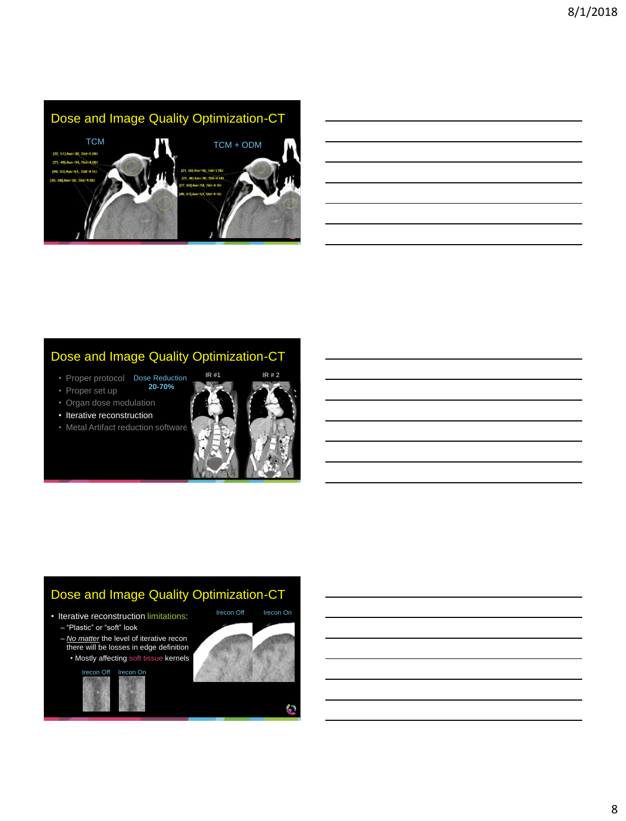

## Dose and Image Quality Optimization-CT

- Proper protocol Dose Reduction **20-70%**
- Proper set up
- Organ dose modulation
- Iterative reconstruction
- Metal Artifact reduction software



## Dose and Image Quality Optimization-CT

- Iterative reconstruction limitations:
	- "Plastic" or "soft" look
	- *No matter* the level of iterative recon there will be losses in edge definition
	- Mostly affecting soft tissue kernels



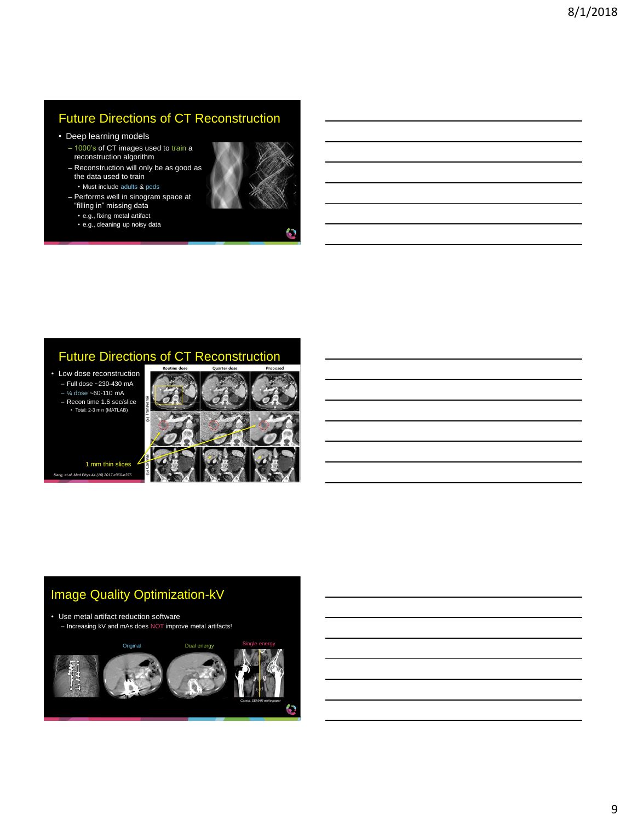# Future Directions of CT Reconstruction

- Deep learning models
	- 1000's of CT images used to train a reconstruction algorithm
	- Reconstruction will only be as good as the data used to train • Must include adults & peds
	- Performs well in sinogram space at "filling in" missing data
		- e.g., fixing metal artifact • e.g., cleaning up noisy data



67

### Future Directions of CT Reconstruction

• Low dose reconstruction – Full dose ~230-430 mA  $-$  ¼ dose  $-60-110$  mA

– Recon time 1.6 sec/slice • Total: 2-3 min (MATLAB)



*Kang, et al. Med Phys 44 (10) 2017 e360-e375* 1 mm thin slices

# Image Quality Optimization-kV

• Use metal artifact reduction software – Increasing kV and mAs does NOT improve metal artifacts!